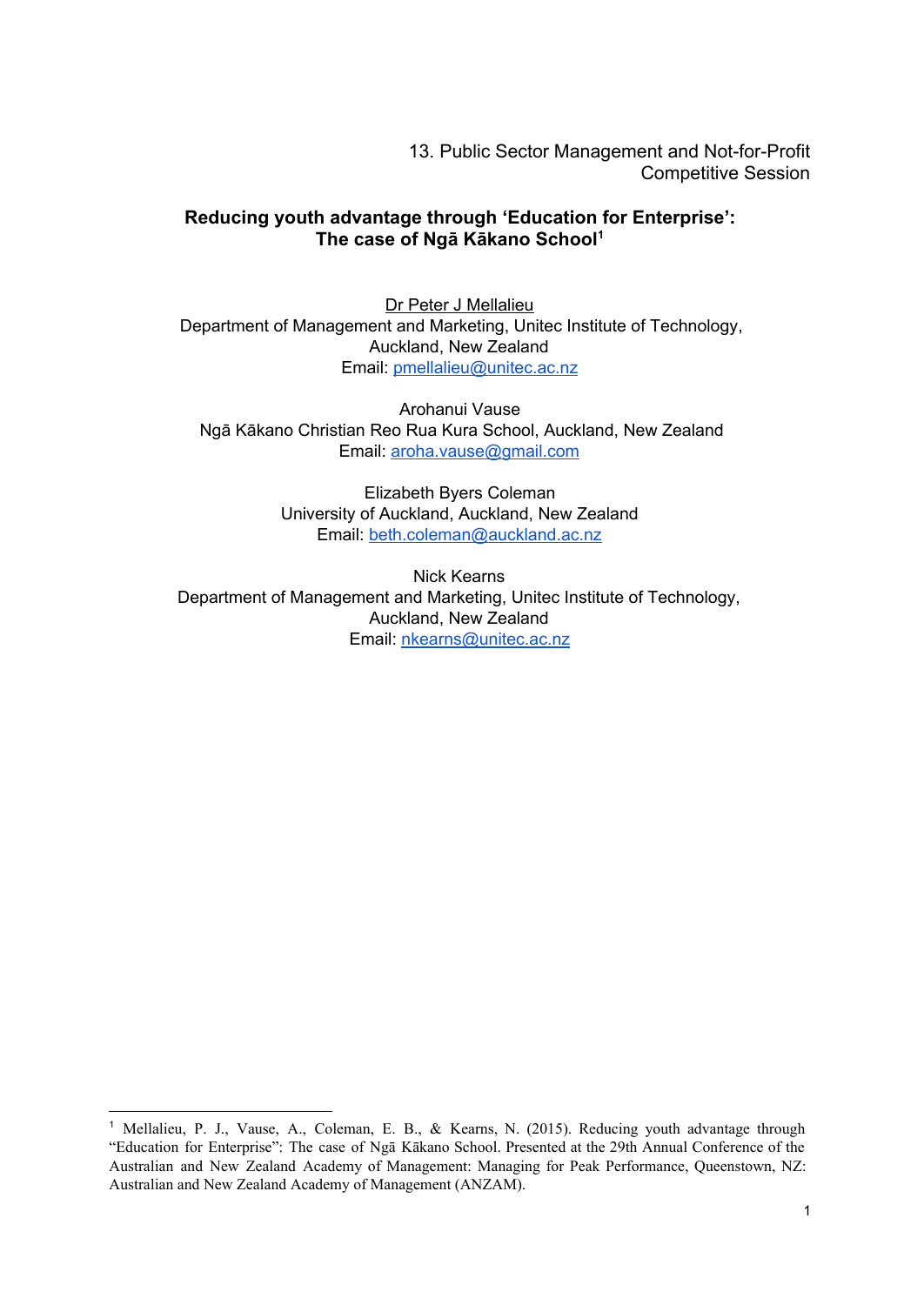13. Public Sector Management and Not-for-Profit Competitive Session

# **Reducing youth advantage through 'Education for Enterprise': The case of Ngā Kākano School 1**

Dr Peter J Mellalieu Department of Management and Marketing, Unitec Institute of Technology, Auckland, New Zealand Email: [pmellalieu@unitec.ac.nz](mailto:pmellalieu@unitec.ac.nz)

Arohanui Vause Ngā Kākano Christian Reo Rua Kura School, Auckland, New Zealand Email: [aroha.vause@gmail.com](mailto:aroha.vause@gmail.com)

> Elizabeth Byers Coleman University of Auckland, Auckland, New Zealand Email: [beth.coleman@auckland.ac.nz](mailto:beth.coleman@auckland.ac.nz)

Nick Kearns Department of Management and Marketing, Unitec Institute of Technology, Auckland, New Zealand Email: [nkearns@unitec.ac.nz](mailto:nkearns@unitec.ac.nz)

<sup>&</sup>lt;sup>1</sup> Mellalieu, P. J., Vause, A., Coleman, E. B., & Kearns, N. (2015). Reducing youth advantage through "Education for Enterprise": The case of Ngā Kākano School. Presented at the 29th Annual Conference of the Australian and New Zealand Academy of Management: Managing for Peak Performance, Queenstown, NZ: Australian and New Zealand Academy of Management (ANZAM).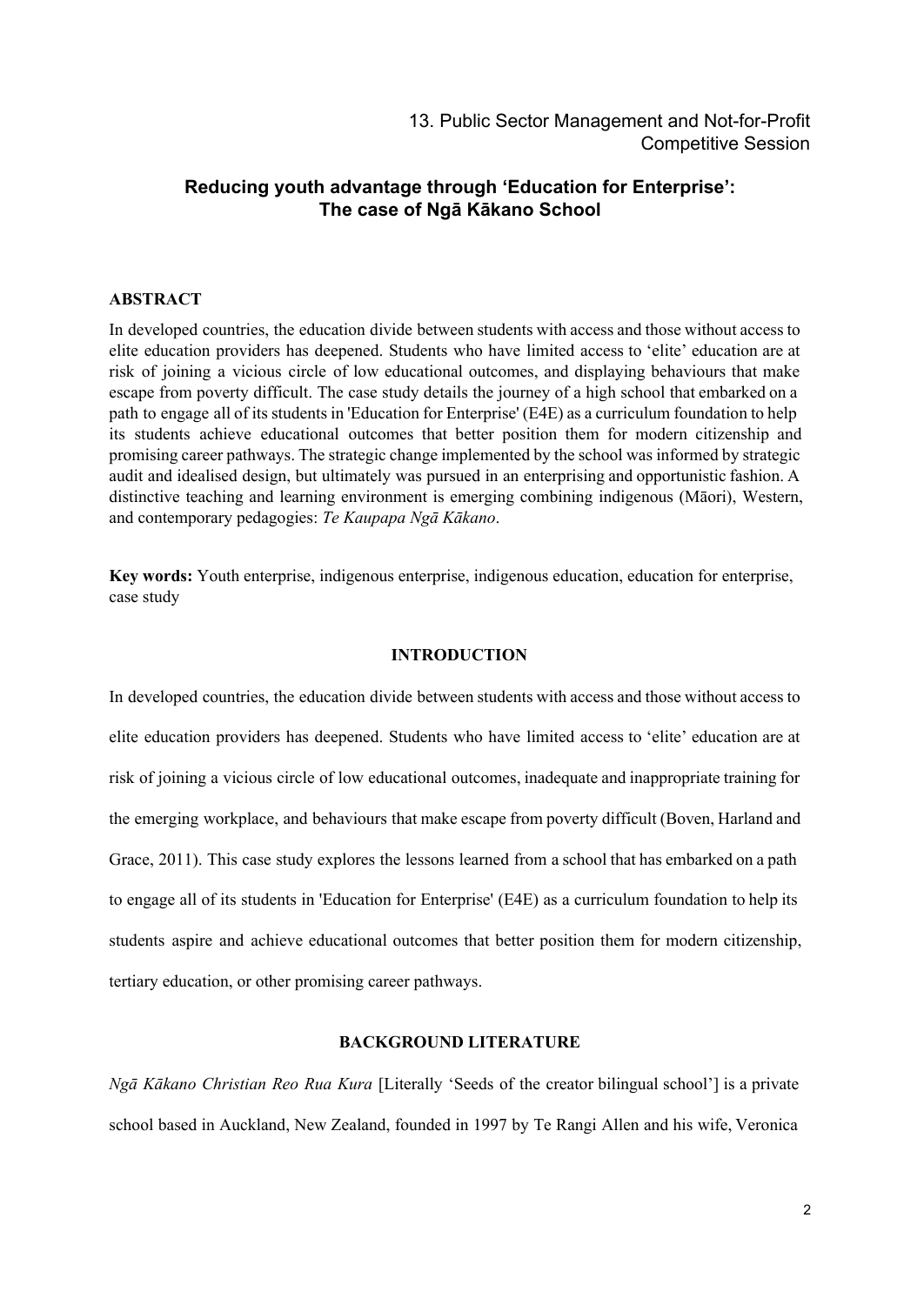# **Reducing youth advantage through 'Education for Enterprise': The case of Ngā Kākano School**

# **ABSTRACT**

In developed countries, the education divide between students with access and those without access to elite education providers has deepened. Students who have limited access to 'elite' education are at risk of joining a vicious circle of low educational outcomes, and displaying behaviours that make escape from poverty difficult. The case study details the journey of a high school that embarked on a path to engage all of its students in 'Education for Enterprise' (E4E) as a curriculum foundation to help its students achieve educational outcomes that better position them for modern citizenship and promising career pathways. The strategic change implemented by the school was informed by strategic audit and idealised design, but ultimately was pursued in an enterprising and opportunistic fashion. A distinctive teaching and learning environment is emerging combining indigenous (Māori), Western, and contemporary pedagogies: *Te Kaupapa Ngā Kākano*.

**Key words:** Youth enterprise, indigenous enterprise, indigenous education, education for enterprise, case study

# **INTRODUCTION**

In developed countries, the education divide between students with access and those without access to elite education providers has deepened. Students who have limited access to 'elite' education are at risk of joining a vicious circle of low educational outcomes, inadequate and inappropriate training for the emerging workplace, and behaviours that make escape from poverty difficult (Boven, Harland and Grace, 2011). This case study explores the lessons learned from a school that has embarked on a path to engage all of its students in 'Education for Enterprise' (E4E) as a curriculum foundation to help its students aspire and achieve educational outcomes that better position them for modern citizenship, tertiary education, or other promising career pathways.

# **BACKGROUND LITERATURE**

*Ngā Kākano Christian Reo Rua Kura* [Literally 'Seeds of the creator bilingual school'] is a private school based in Auckland, New Zealand, founded in 1997 by Te Rangi Allen and his wife, Veronica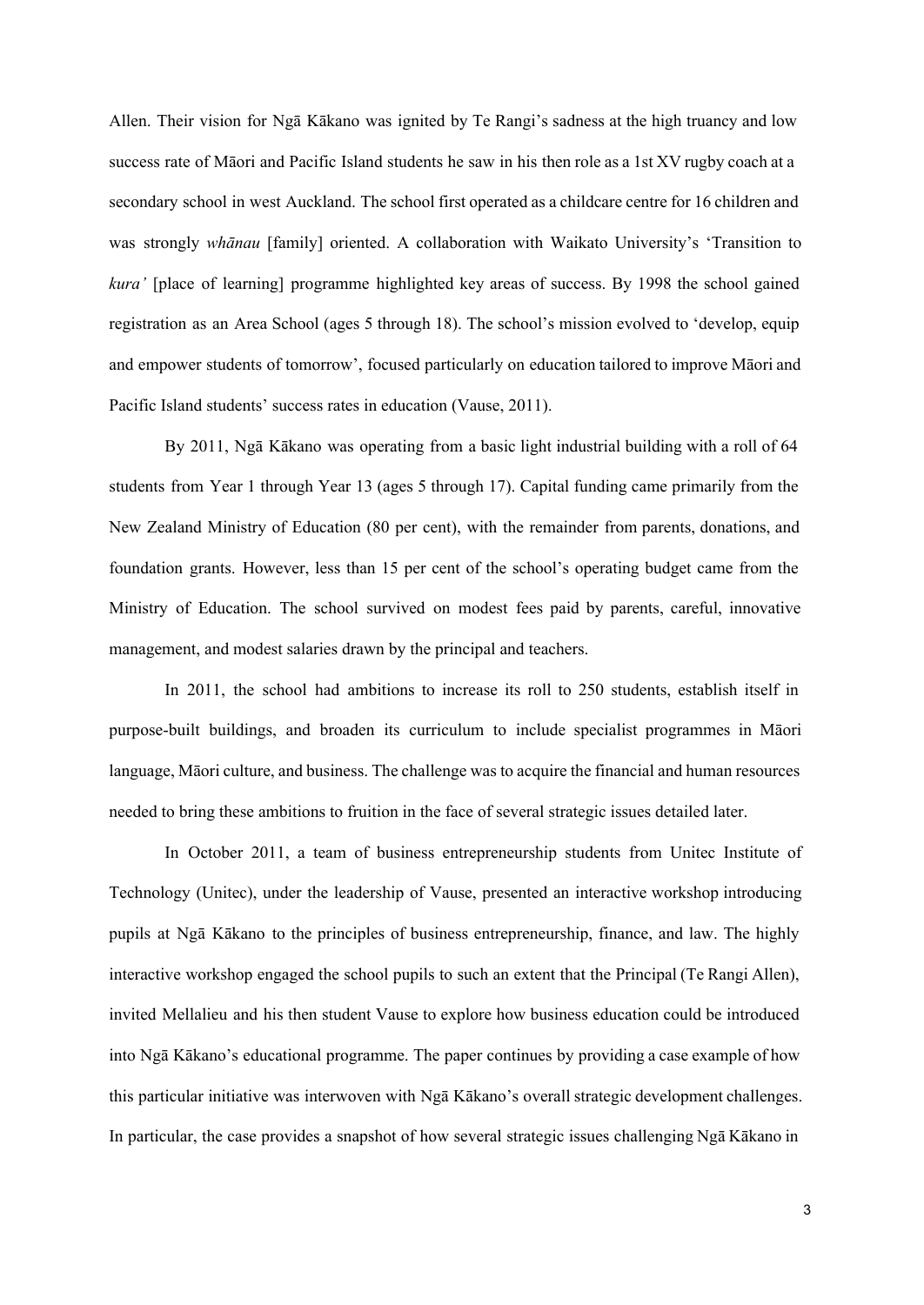Allen. Their vision for Ngā Kākano was ignited by Te Rangi's sadness at the high truancy and low success rate of Māori and Pacific Island students he saw in his then role as a 1st XV rugby coach at a secondary school in west Auckland. The school first operated as a childcare centre for 16 children and was strongly *whānau* [family] oriented. A collaboration with Waikato University's 'Transition to *kura'* [place of learning] programme highlighted key areas of success. By 1998 the school gained registration as an Area School (ages 5 through 18). The school's mission evolved to 'develop, equip and empower students of tomorrow', focused particularly on education tailored to improve Māori and Pacific Island students' success rates in education (Vause, 2011).

By 2011, Ngā Kākano was operating from a basic light industrial building with a roll of 64 students from Year 1 through Year 13 (ages 5 through 17). Capital funding came primarily from the New Zealand Ministry of Education (80 per cent), with the remainder from parents, donations, and foundation grants. However, less than 15 per cent of the school's operating budget came from the Ministry of Education. The school survived on modest fees paid by parents, careful, innovative management, and modest salaries drawn by the principal and teachers.

In 2011, the school had ambitions to increase its roll to 250 students, establish itself in purposebuilt buildings, and broaden its curriculum to include specialist programmes in Māori language, Māori culture, and business. The challenge was to acquire the financial and human resources needed to bring these ambitions to fruition in the face of several strategic issues detailed later.

In October 2011, a team of business entrepreneurship students from Unitec Institute of Technology (Unitec), under the leadership of Vause, presented an interactive workshop introducing pupils at Ngā Kākano to the principles of business entrepreneurship, finance, and law. The highly interactive workshop engaged the school pupils to such an extent that the Principal (Te Rangi Allen), invited Mellalieu and his then student Vause to explore how business education could be introduced into Ngā Kākano's educational programme. The paper continues by providing a case example of how this particular initiative was interwoven with Ngā Kākano's overall strategic development challenges. In particular, the case provides a snapshot of how several strategic issues challenging Ngā Kākano in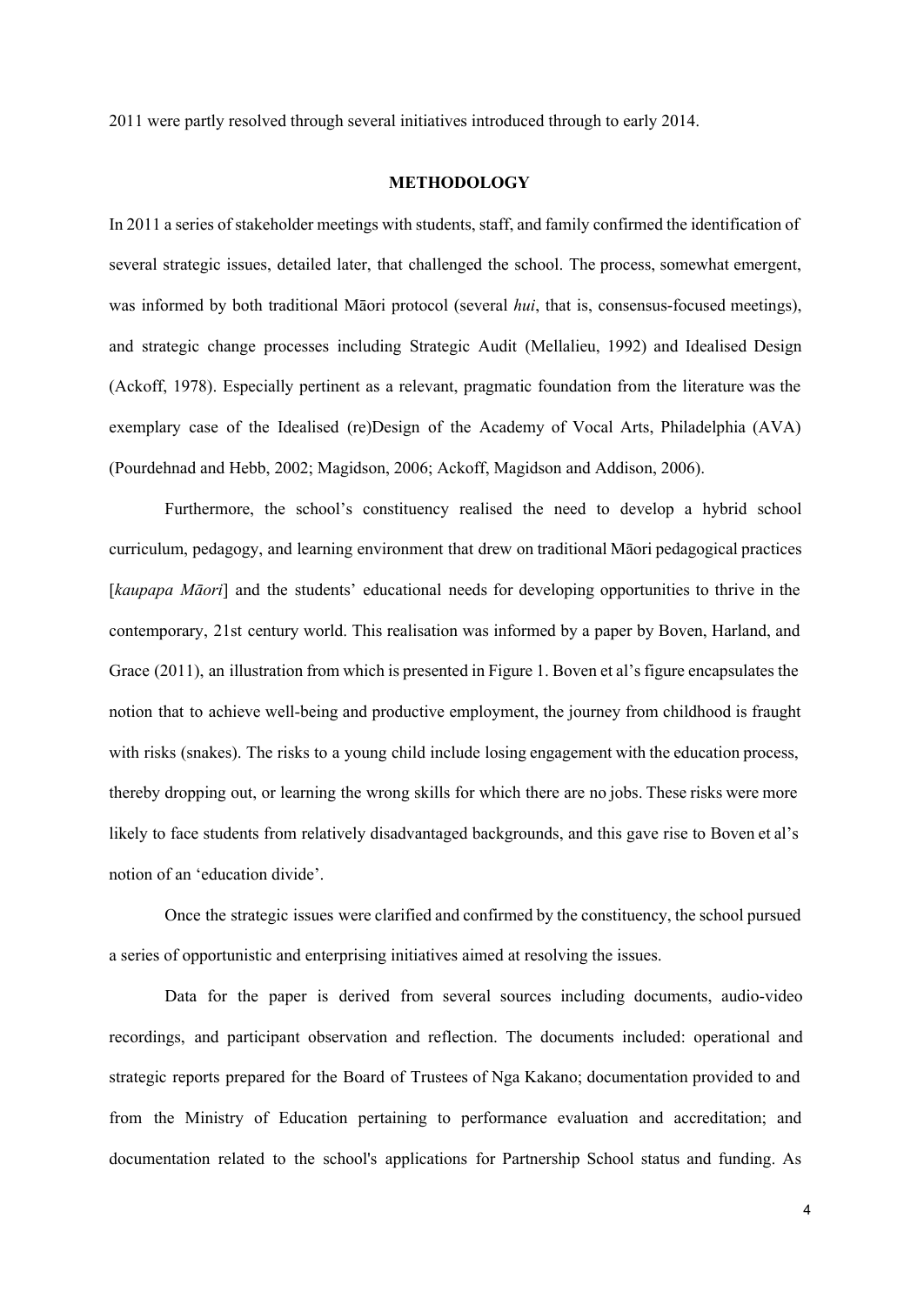2011 were partly resolved through several initiatives introduced through to early 2014.

## **METHODOLOGY**

In 2011 a series of stakeholder meetings with students, staff, and family confirmed the identification of several strategic issues, detailed later, that challenged the school. The process, somewhat emergent, was informed by both traditional Māori protocol (several *hui*, that is, consensus-focused meetings), and strategic change processes including Strategic Audit (Mellalieu, 1992) and Idealised Design (Ackoff, 1978). Especially pertinent as a relevant, pragmatic foundation from the literature was the exemplary case of the Idealised (re)Design of the Academy of Vocal Arts, Philadelphia (AVA) (Pourdehnad and Hebb, 2002; Magidson, 2006; Ackoff, Magidson and Addison, 2006).

Furthermore, the school's constituency realised the need to develop a hybrid school curriculum, pedagogy, and learning environment that drew on traditional Māori pedagogical practices [*kaupapa Māori*] and the students' educational needs for developing opportunities to thrive in the contemporary, 21st century world. This realisation was informed by a paper by Boven, Harland, and Grace (2011), an illustration from which is presented in Figure 1. Boven et al's figure encapsulates the notion that to achieve well-being and productive employment, the journey from childhood is fraught with risks (snakes). The risks to a young child include losing engagement with the education process, thereby dropping out, or learning the wrong skills for which there are no jobs. These risks were more likely to face students from relatively disadvantaged backgrounds, and this gave rise to Boven et al's notion of an 'education divide'.

Once the strategic issues were clarified and confirmed by the constituency, the school pursued a series of opportunistic and enterprising initiatives aimed at resolving the issues.

Data for the paper is derived from several sources including documents, audio-video recordings, and participant observation and reflection. The documents included: operational and strategic reports prepared for the Board of Trustees of Nga Kakano; documentation provided to and from the Ministry of Education pertaining to performance evaluation and accreditation; and documentation related to the school's applications for Partnership School status and funding. As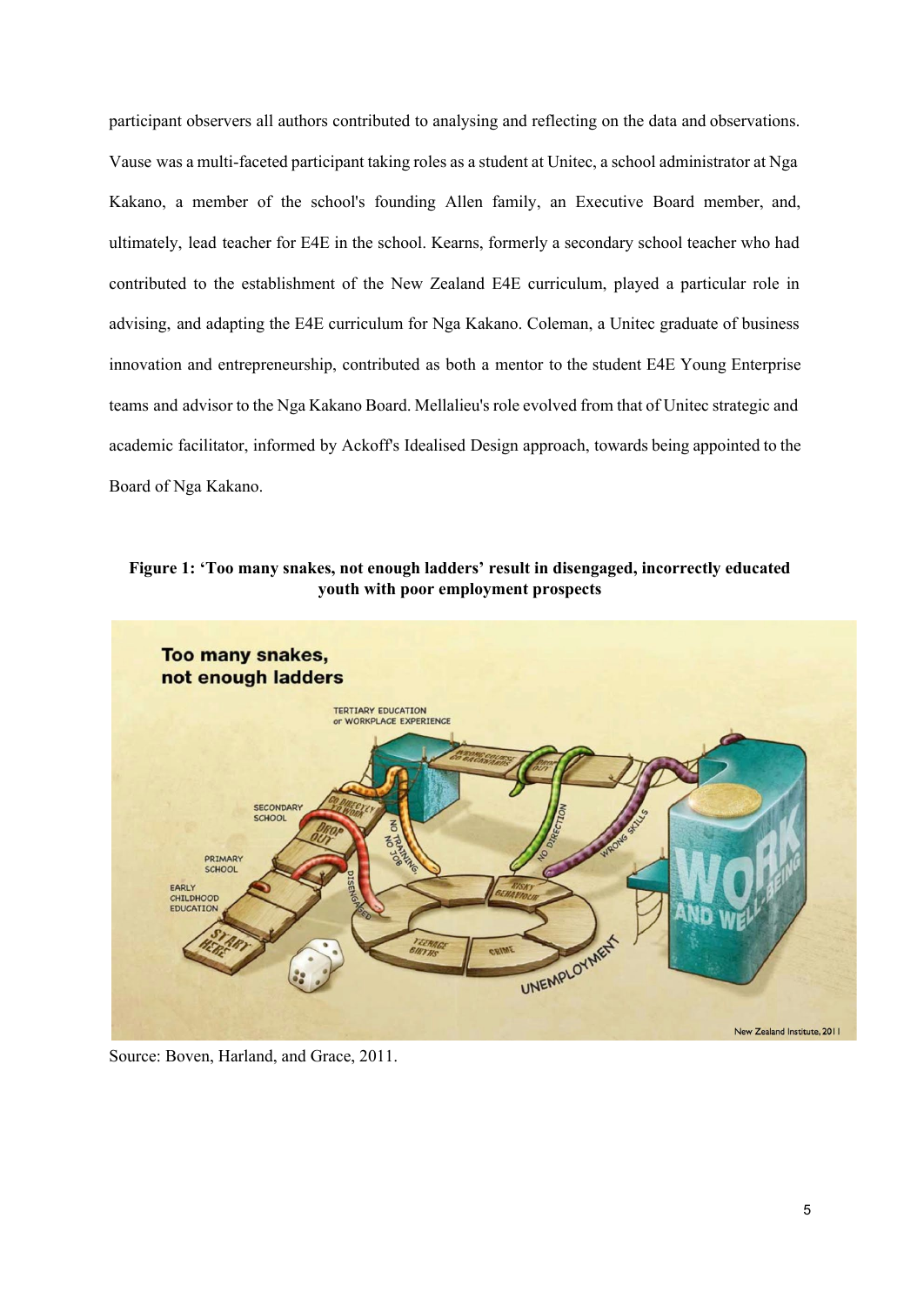participant observers all authors contributed to analysing and reflecting on the data and observations. Vause was a multi-faceted participant taking roles as a student at Unitec, a school administrator at Nga Kakano, a member of the school's founding Allen family, an Executive Board member, and, ultimately, lead teacher for E4E in the school. Kearns, formerly a secondary school teacher who had contributed to the establishment of the New Zealand E4E curriculum, played a particular role in advising, and adapting the E4E curriculum for Nga Kakano. Coleman, a Unitec graduate of business innovation and entrepreneurship, contributed as both a mentor to the student E4E Young Enterprise teams and advisor to the Nga Kakano Board. Mellalieu's role evolved from that of Unitec strategic and academic facilitator, informed by Ackoff's Idealised Design approach, towards being appointed to the Board of Nga Kakano.

**Figure 1: 'Too many snakes, not enough ladders' result in disengaged, incorrectly educated youth with poor employment prospects**



Source: Boven, Harland, and Grace, 2011.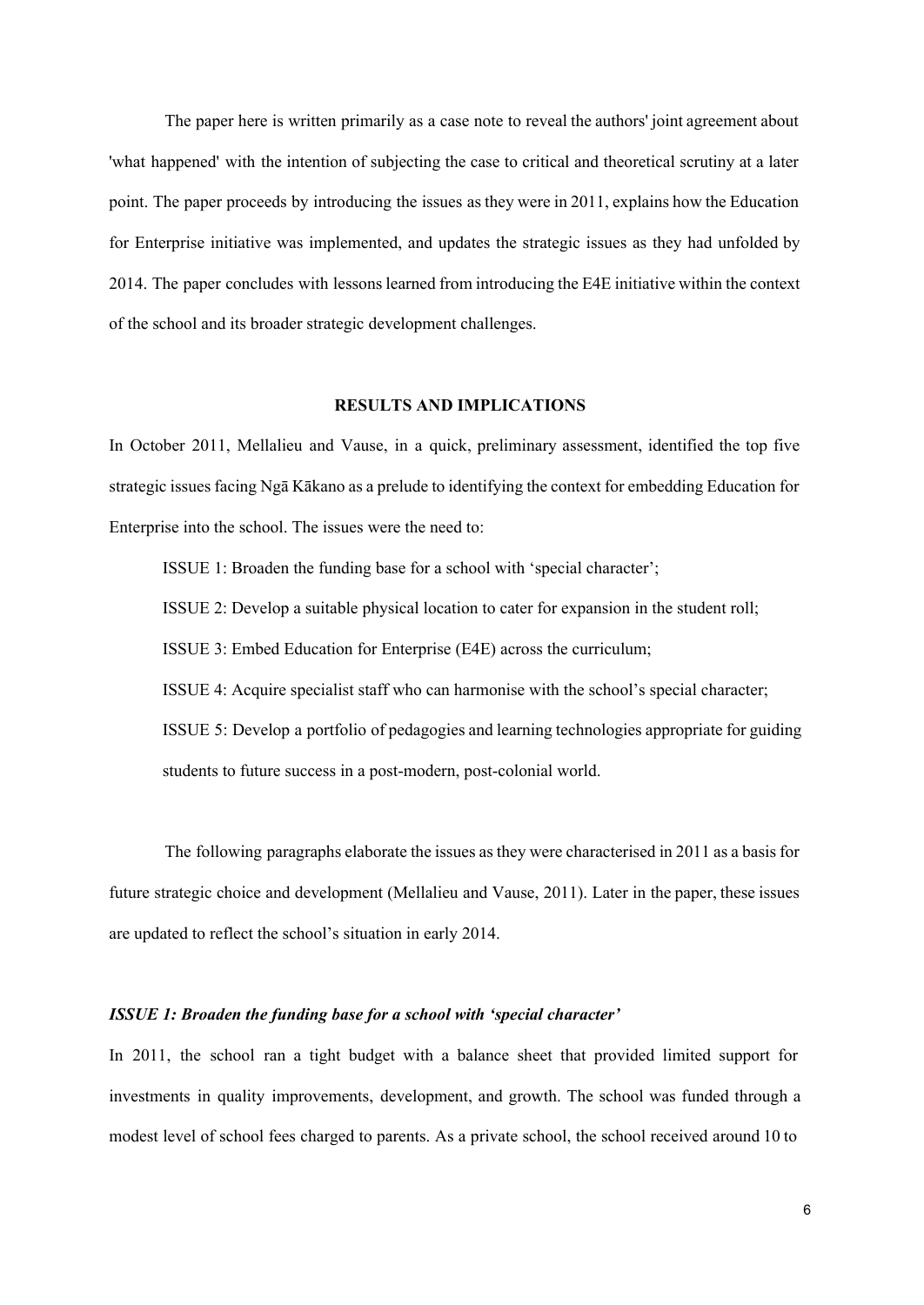The paper here is written primarily as a case note to reveal the authors' joint agreement about 'what happened' with the intention of subjecting the case to critical and theoretical scrutiny at a later point. The paper proceeds by introducing the issues as they were in 2011, explains how the Education for Enterprise initiative was implemented, and updates the strategic issues as they had unfolded by 2014. The paper concludes with lessons learned from introducing the E4E initiative within the context of the school and its broader strategic development challenges.

#### **RESULTS AND IMPLICATIONS**

In October 2011, Mellalieu and Vause, in a quick, preliminary assessment, identified the top five strategic issues facing Ngā Kākano as a prelude to identifying the context for embedding Education for Enterprise into the school. The issues were the need to:

ISSUE 1: Broaden the funding base for a school with 'special character';

ISSUE 2: Develop a suitable physical location to cater for expansion in the student roll;

ISSUE 3: Embed Education for Enterprise (E4E) across the curriculum;

ISSUE 4: Acquire specialist staff who can harmonise with the school's special character;

ISSUE 5: Develop a portfolio of pedagogies and learning technologies appropriate for guiding students to future success in a post-modern, post-colonial world.

The following paragraphs elaborate the issues as they were characterised in 2011 as a basis for future strategic choice and development (Mellalieu and Vause, 2011). Later in the paper, these issues are updated to reflect the school's situation in early 2014.

# *ISSUE 1: Broaden the funding base for a school with 'special character'*

In 2011, the school ran a tight budget with a balance sheet that provided limited support for investments in quality improvements, development, and growth. The school was funded through a modest level of school fees charged to parents. As a private school, the school received around 10 to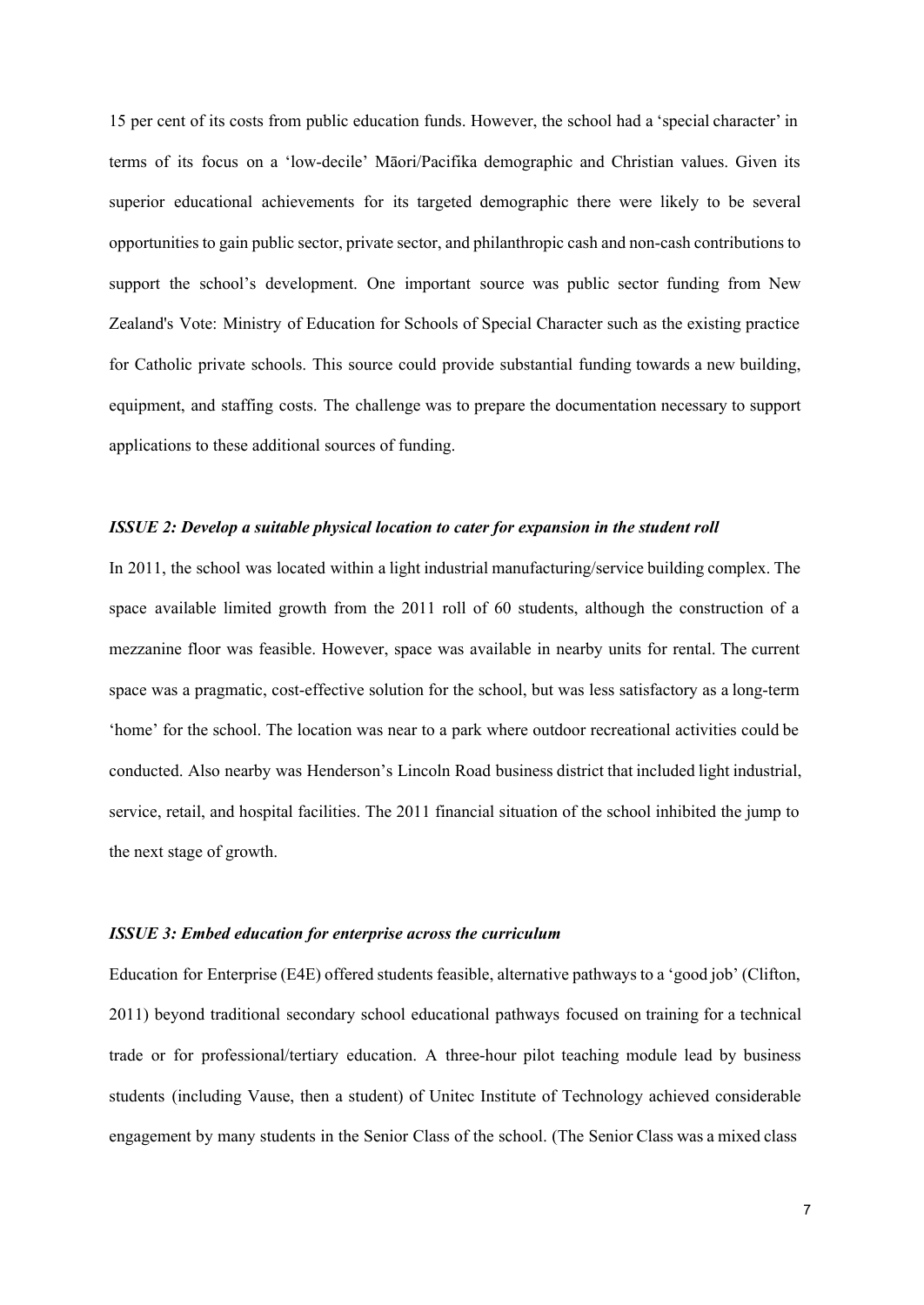15 per cent of its costs from public education funds. However, the school had a 'special character' in terms of its focus on a 'lowdecile' Māori/Pacifika demographic and Christian values. Given its superior educational achievements for its targeted demographic there were likely to be several opportunities to gain public sector, private sector, and philanthropic cash and noncash contributions to support the school's development. One important source was public sector funding from New Zealand's Vote: Ministry of Education for Schools of Special Character such as the existing practice for Catholic private schools. This source could provide substantial funding towards a new building, equipment, and staffing costs. The challenge was to prepare the documentation necessary to support applications to these additional sources of funding.

# *ISSUE 2: Develop a suitable physical location to cater for expansion in the student roll*

In 2011, the school was located within a light industrial manufacturing/service building complex. The space available limited growth from the 2011 roll of 60 students, although the construction of a mezzanine floor was feasible. However, space was available in nearby units for rental. The current space was a pragmatic, cost-effective solution for the school, but was less satisfactory as a long-term 'home' for the school. The location was near to a park where outdoor recreational activities could be conducted. Also nearby was Henderson's Lincoln Road business district that included light industrial, service, retail, and hospital facilities. The 2011 financial situation of the school inhibited the jump to the next stage of growth.

#### *ISSUE 3: Embed education for enterprise across the curriculum*

Education for Enterprise (E4E) offered students feasible, alternative pathways to a 'good job' (Clifton, 2011) beyond traditional secondary school educational pathways focused on training for a technical trade or for professional/tertiary education. A three-hour pilot teaching module lead by business students (including Vause, then a student) of Unitec Institute of Technology achieved considerable engagement by many students in the Senior Class of the school. (The Senior Class was a mixed class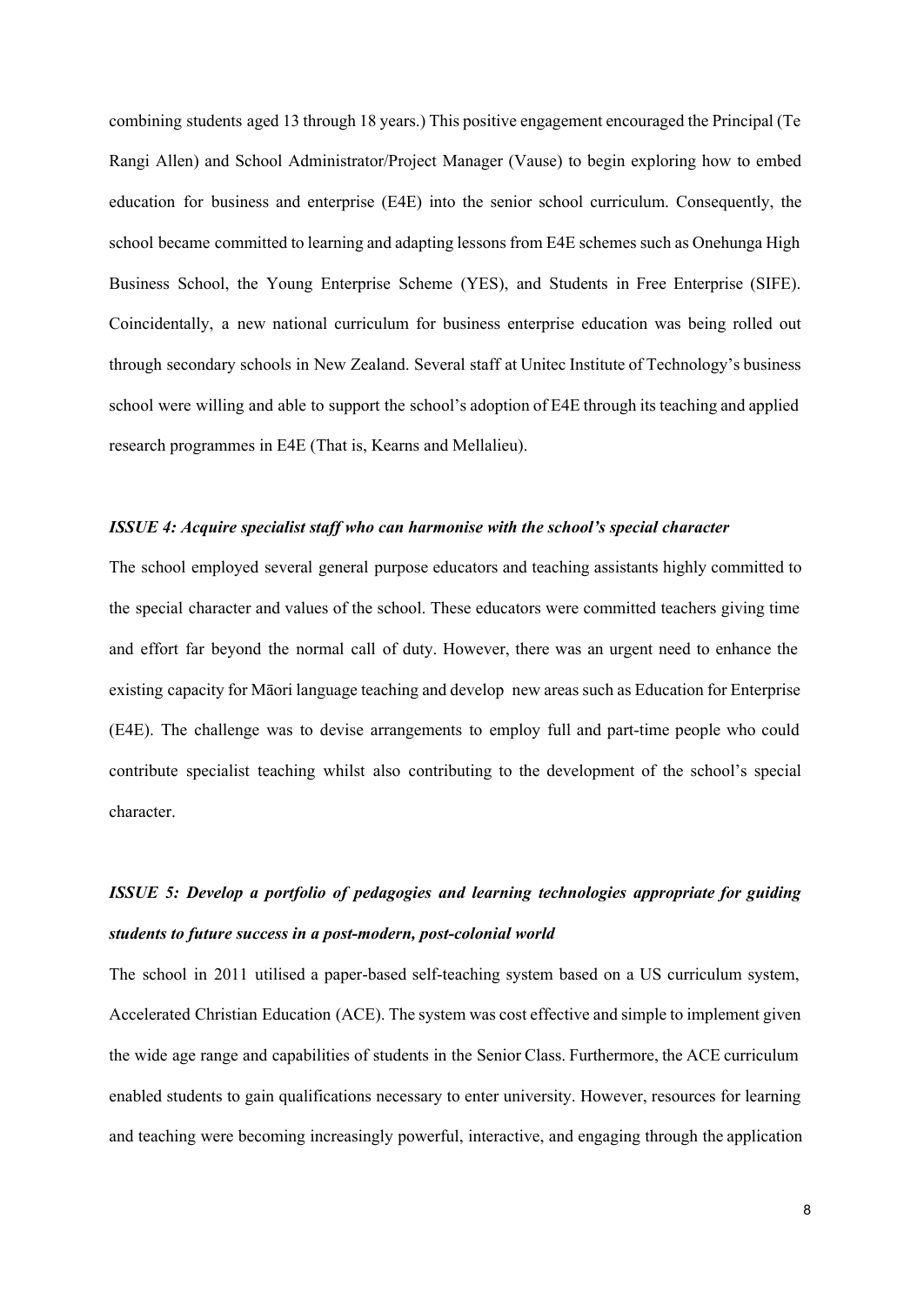combining students aged 13 through 18 years.) This positive engagement encouraged the Principal (Te Rangi Allen) and School Administrator/Project Manager (Vause) to begin exploring how to embed education for business and enterprise (E4E) into the senior school curriculum. Consequently, the school became committed to learning and adapting lessons from E4E schemes such as Onehunga High Business School, the Young Enterprise Scheme (YES), and Students in Free Enterprise (SIFE). Coincidentally, a new national curriculum for business enterprise education was being rolled out through secondary schools in New Zealand. Several staff at Unitec Institute of Technology's business school were willing and able to support the school's adoption of E4E through its teaching and applied research programmes in E4E (That is, Kearns and Mellalieu).

# *ISSUE 4: Acquire specialist staf who can harmonise with the school's special character*

The school employed several general purpose educators and teaching assistants highly committed to the special character and values of the school. These educators were committed teachers giving time and effort far beyond the normal call of duty. However, there was an urgent need to enhance the existing capacity for Māori language teaching and develop new areas such as Education for Enterprise (E4E). The challenge was to devise arrangements to employ full and parttime people who could contribute specialist teaching whilst also contributing to the development of the school's special character.

# *ISSUE 5: Develop a portfolio of pedagogies and learning technologies appropriate for guiding students to future success in a postmodern, postcolonial world*

The school in 2011 utilised a paper-based self-teaching system based on a US curriculum system, Accelerated Christian Education (ACE). The system was cost effective and simple to implement given the wide age range and capabilities of students in the Senior Class. Furthermore, the ACE curriculum enabled students to gain qualifications necessary to enter university. However, resources for learning and teaching were becoming increasingly powerful, interactive, and engaging through the application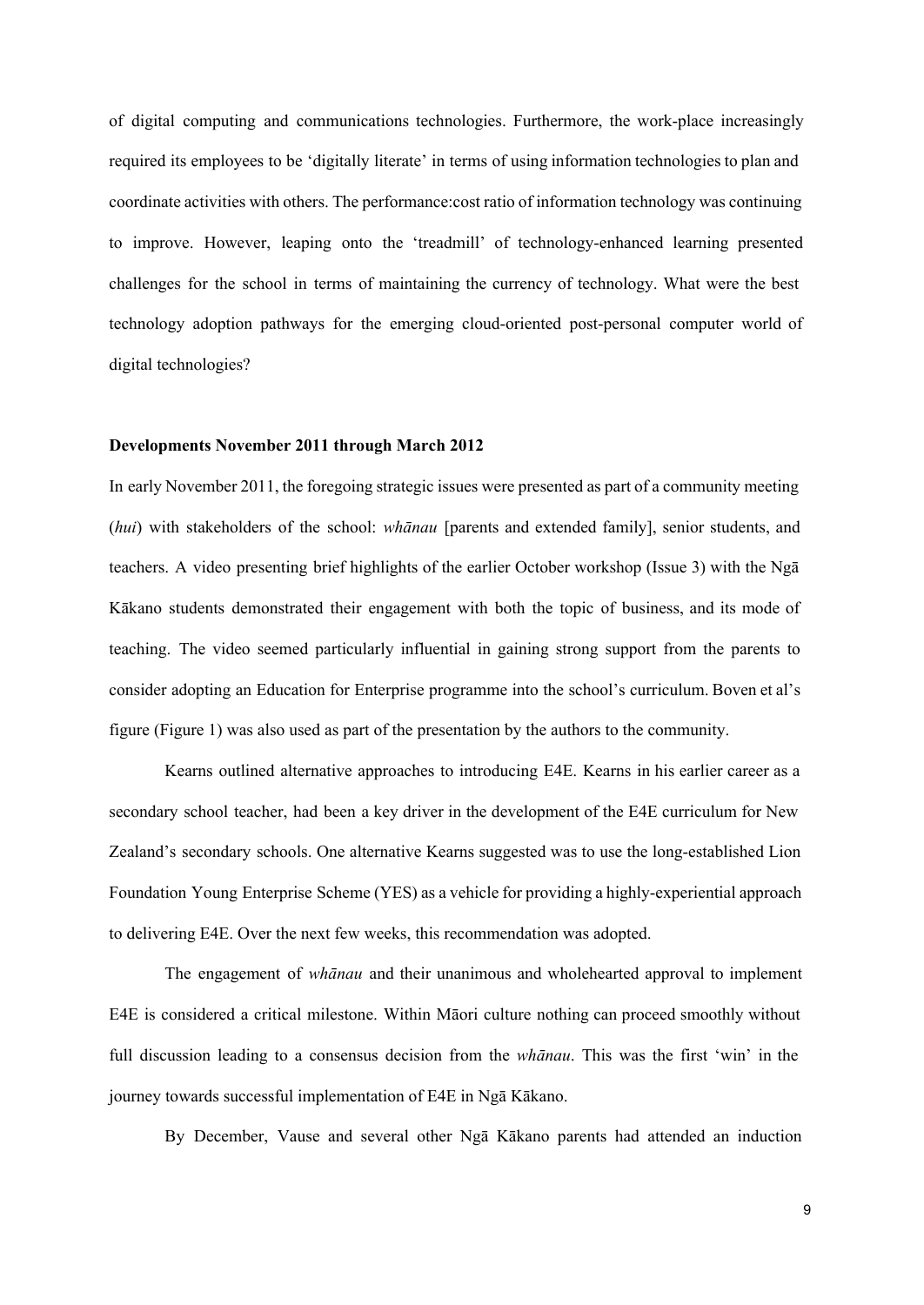of digital computing and communications technologies. Furthermore, the workplace increasingly required its employees to be 'digitally literate' in terms of using information technologies to plan and coordinate activities with others. The performance:cost ratio of information technology was continuing to improve. However, leaping onto the 'treadmill' of technology-enhanced learning presented challenges for the school in terms of maintaining the currency of technology. What were the best technology adoption pathways for the emerging cloud-oriented post-personal computer world of digital technologies?

#### **Developments November 2011 through March 2012**

In early November 2011, the foregoing strategic issues were presented as part of a community meeting (*hui*) with stakeholders of the school: *whānau* [parents and extended family], senior students, and teachers. A video presenting brief highlights of the earlier October workshop (Issue 3) with the Ngā Kākano students demonstrated their engagement with both the topic of business, and its mode of teaching. The video seemed particularly influential in gaining strong support from the parents to consider adopting an Education for Enterprise programme into the school's curriculum. Boven et al's figure (Figure 1) was also used as part of the presentation by the authors to the community.

Kearns outlined alternative approaches to introducing E4E. Kearns in his earlier career as a secondary school teacher, had been a key driver in the development of the E4E curriculum for New Zealand's secondary schools. One alternative Kearns suggested was to use the long-established Lion Foundation Young Enterprise Scheme (YES) as a vehicle for providing a highly-experiential approach to delivering E4E. Over the next few weeks, this recommendation was adopted.

The engagement of *whānau* and their unanimous and wholehearted approval to implement E4E is considered a critical milestone. Within Māori culture nothing can proceed smoothly without full discussion leading to a consensus decision from the *whānau*. This was the first 'win' in the journey towards successful implementation of E4E in Ngā Kākano.

By December, Vause and several other Ngā Kākano parents had attended an induction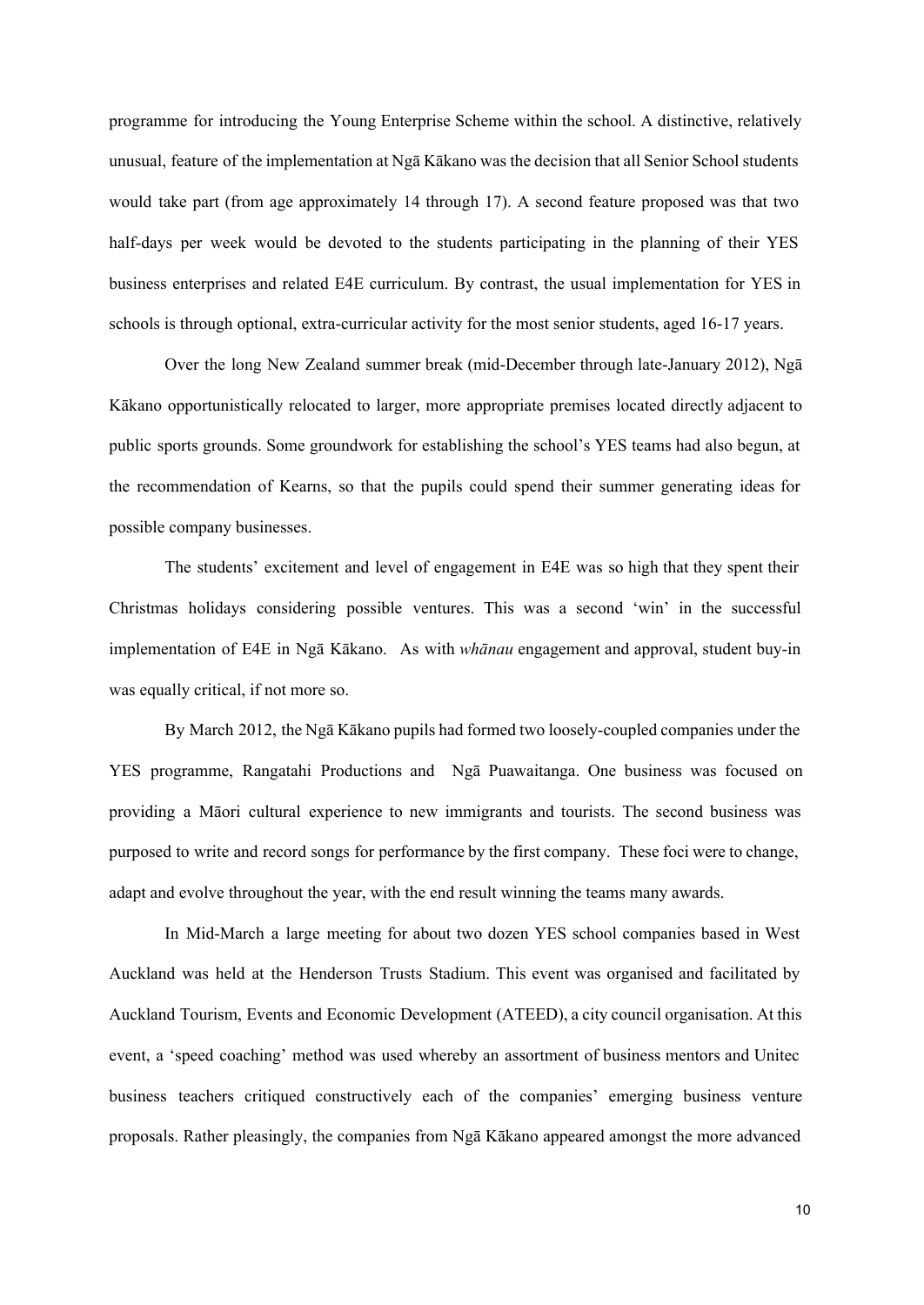programme for introducing the Young Enterprise Scheme within the school. A distinctive, relatively unusual, feature of the implementation at Ngā Kākano was the decision that all Senior School students would take part (from age approximately 14 through 17). A second feature proposed was that two half-days per week would be devoted to the students participating in the planning of their YES business enterprises and related E4E curriculum. By contrast, the usual implementation for YES in schools is through optional, extra-curricular activity for the most senior students, aged 16-17 years.

Over the long New Zealand summer break (mid-December through late-January 2012), Ng $\bar{a}$ Kākano opportunistically relocated to larger, more appropriate premises located directly adjacent to public sports grounds. Some groundwork for establishing the school's YES teams had also begun, at the recommendation of Kearns, so that the pupils could spend their summer generating ideas for possible company businesses.

The students' excitement and level of engagement in E4E was so high that they spent their Christmas holidays considering possible ventures. This was a second 'win' in the successful implementation of E4E in Ngā Kākano. As with *whānau* engagement and approval, student buy-in was equally critical, if not more so.

By March 2012, the Ngā Kākano pupils had formed two looselycoupled companies under the YES programme, Rangatahi Productions and Ngā Puawaitanga. One business was focused on providing a Māori cultural experience to new immigrants and tourists. The second business was purposed to write and record songs for performance by the first company. These foci were to change, adapt and evolve throughout the year, with the end result winning the teams many awards.

In Mid-March a large meeting for about two dozen YES school companies based in West Auckland was held at the Henderson Trusts Stadium. This event was organised and facilitated by Auckland Tourism, Events and Economic Development (ATEED), a city council organisation. At this event, a 'speed coaching' method was used whereby an assortment of business mentors and Unitec business teachers critiqued constructively each of the companies' emerging business venture proposals. Rather pleasingly, the companies from Ngā Kākano appeared amongst the more advanced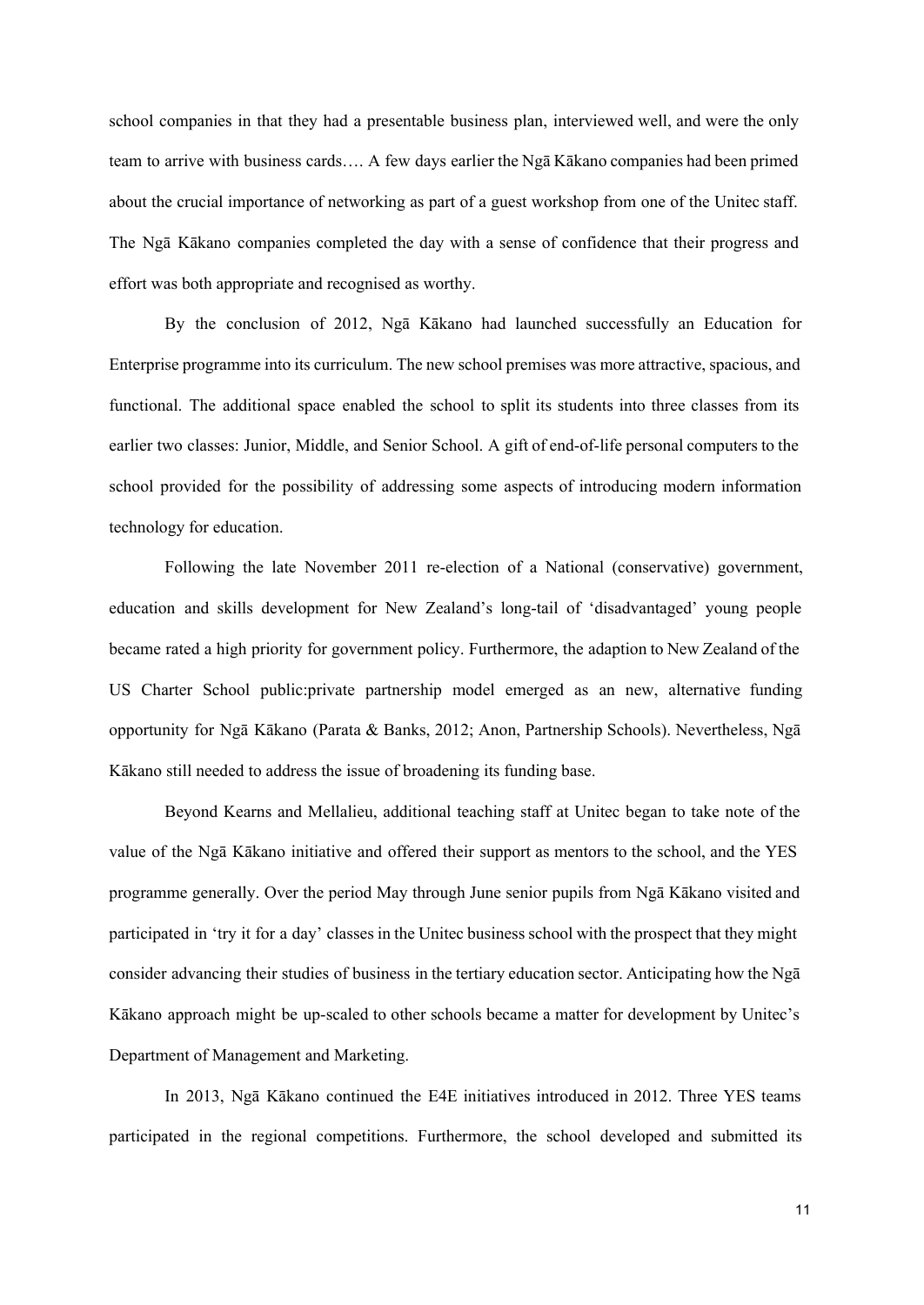school companies in that they had a presentable business plan, interviewed well, and were the only team to arrive with business cards…. A few days earlier the Ngā Kākano companies had been primed about the crucial importance of networking as part of a guest workshop from one of the Unitec staff. The Ngā Kākano companies completed the day with a sense of confidence that their progress and effort was both appropriate and recognised as worthy.

By the conclusion of 2012, Ngā Kākano had launched successfully an Education for Enterprise programme into its curriculum. The new school premises was more attractive, spacious, and functional. The additional space enabled the school to split its students into three classes from its earlier two classes: Junior, Middle, and Senior School. A gift of end-of-life personal computers to the school provided for the possibility of addressing some aspects of introducing modern information technology for education.

Following the late November 2011 re-election of a National (conservative) government, education and skills development for New Zealand's long-tail of 'disadvantaged' young people became rated a high priority for government policy. Furthermore, the adaption to New Zealand of the US Charter School public:private partnership model emerged as an new, alternative funding opportunity for Ngā Kākano (Parata & Banks, 2012; Anon, Partnership Schools). Nevertheless, Ngā Kākano still needed to address the issue of broadening its funding base.

Beyond Kearns and Mellalieu, additional teaching staff at Unitec began to take note of the value of the Ngā Kākano initiative and offered their support as mentors to the school, and the YES programme generally. Over the period May through June senior pupils from Ngā Kākano visited and participated in 'try it for a day' classes in the Unitec business school with the prospect that they might consider advancing their studies of business in the tertiary education sector. Anticipating how the Ngā Kākano approach might be up-scaled to other schools became a matter for development by Unitec's Department of Management and Marketing.

In 2013, Ngā Kākano continued the E4E initiatives introduced in 2012. Three YES teams participated in the regional competitions. Furthermore, the school developed and submitted its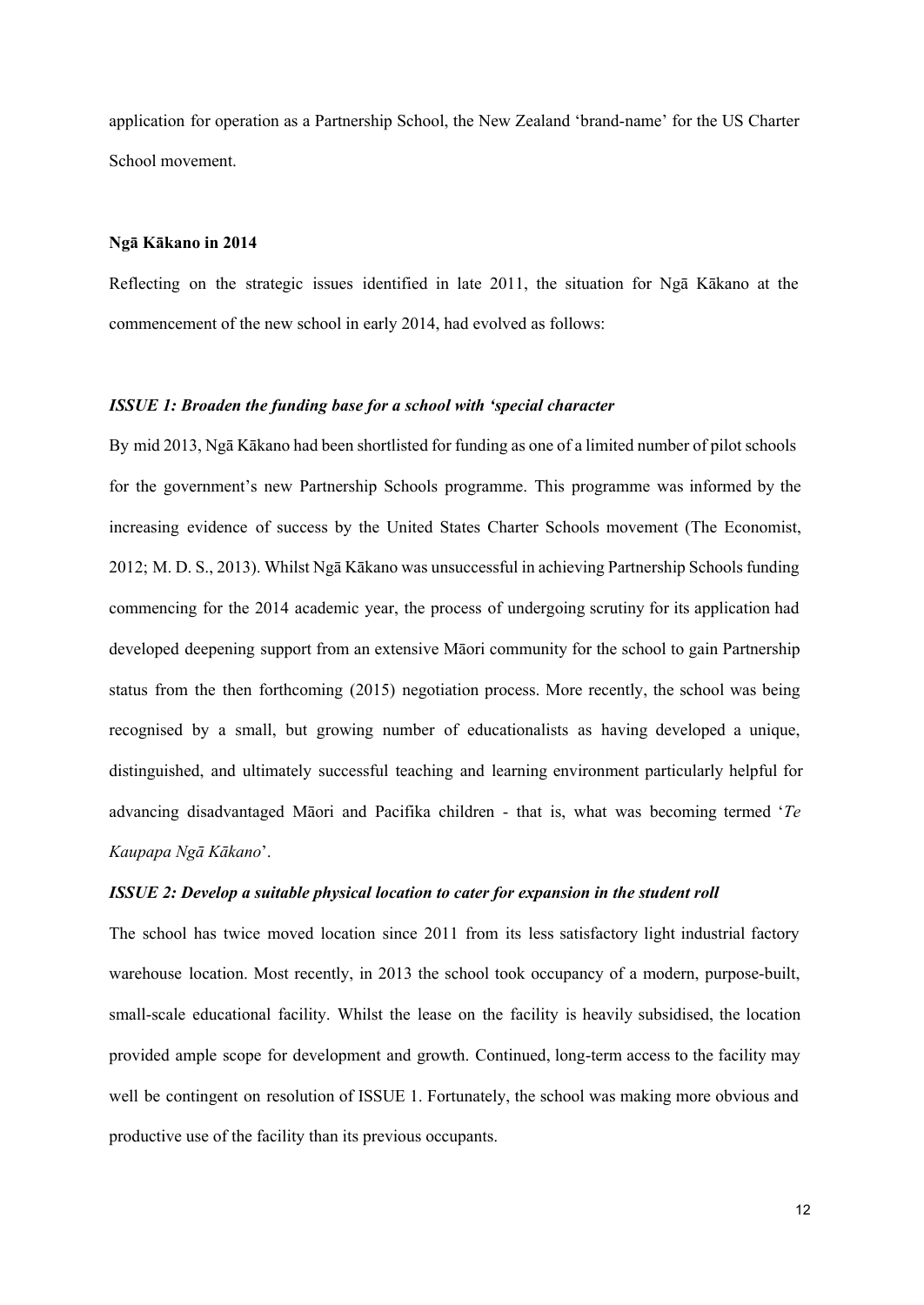application for operation as a Partnership School, the New Zealand 'brand-name' for the US Charter School movement.

#### **Ngā Kākano in 2014**

Reflecting on the strategic issues identified in late 2011, the situation for Ngā Kākano at the commencement of the new school in early 2014, had evolved as follows:

#### *ISSUE 1: Broaden the funding base for a school with 'special character*

By mid 2013, Ngā Kākano had been shortlisted for funding as one of a limited number of pilot schools for the government's new Partnership Schools programme. This programme was informed by the increasing evidence of success by the United States Charter Schools movement (The Economist, 2012; M. D. S., 2013). Whilst Ngā Kākano was unsuccessful in achieving Partnership Schools funding commencing for the 2014 academic year, the process of undergoing scrutiny for its application had developed deepening support from an extensive Māori community for the school to gain Partnership status from the then forthcoming (2015) negotiation process. More recently, the school was being recognised by a small, but growing number of educationalists as having developed a unique, distinguished, and ultimately successful teaching and learning environment particularly helpful for advancing disadvantaged Māori and Pacifika children that is, what was becoming termed '*Te Kaupapa Ngā Kākano*'.

## *ISSUE 2: Develop a suitable physical location to cater for expansion in the student roll*

The school has twice moved location since 2011 from its less satisfactory light industrial factory warehouse location. Most recently, in 2013 the school took occupancy of a modern, purpose-built, small-scale educational facility. Whilst the lease on the facility is heavily subsidised, the location provided ample scope for development and growth. Continued, long-term access to the facility may well be contingent on resolution of ISSUE 1. Fortunately, the school was making more obvious and productive use of the facility than its previous occupants.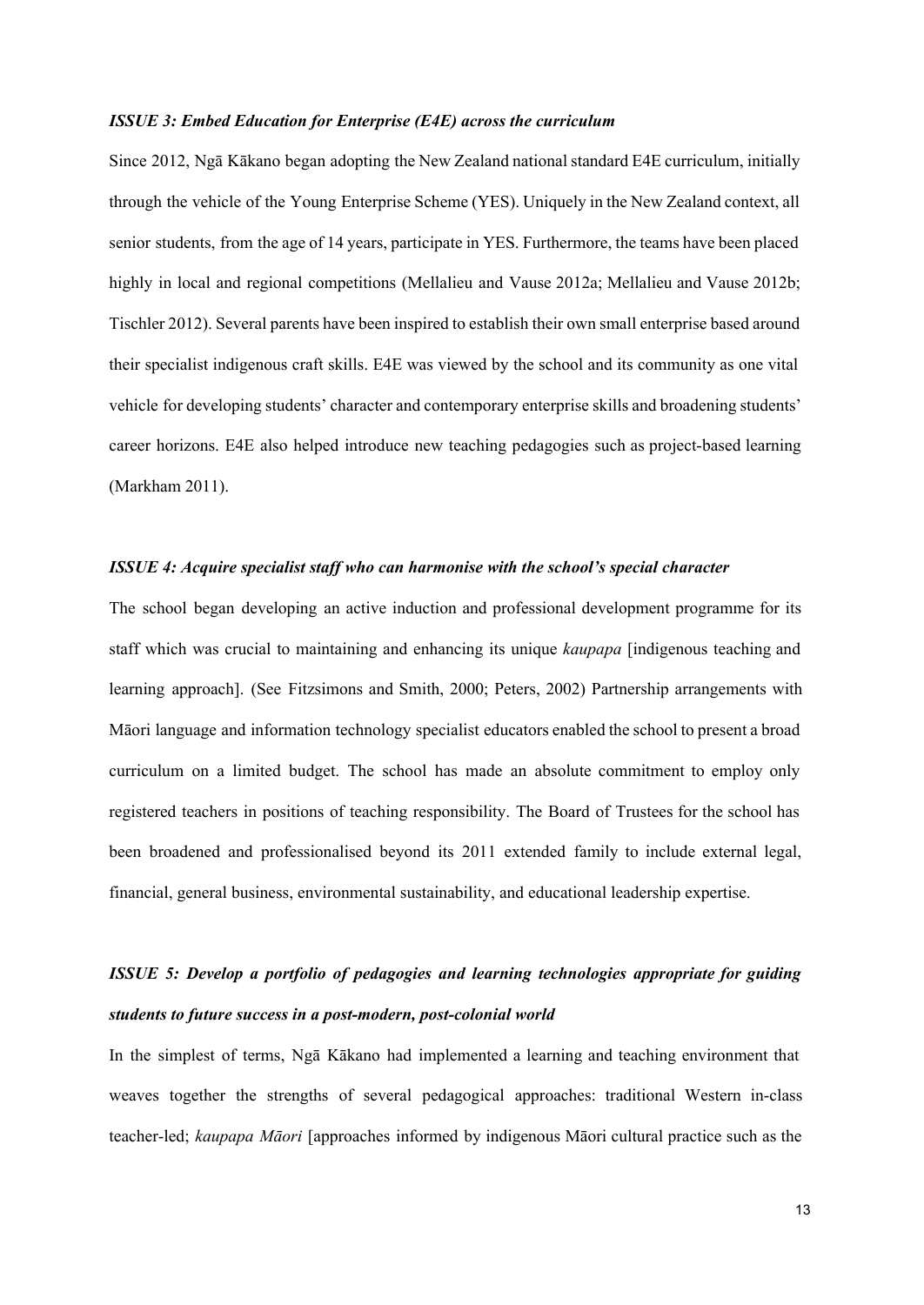#### *ISSUE 3: Embed Education for Enterprise (E4E) across the curriculum*

Since 2012, Ngā Kākano began adopting the New Zealand national standard E4E curriculum, initially through the vehicle of the Young Enterprise Scheme (YES). Uniquely in the New Zealand context, all senior students, from the age of 14 years, participate in YES. Furthermore, the teams have been placed highly in local and regional competitions (Mellalieu and Vause 2012a; Mellalieu and Vause 2012b; Tischler 2012). Several parents have been inspired to establish their own small enterprise based around their specialist indigenous craft skills. E4E was viewed by the school and its community as one vital vehicle for developing students' character and contemporary enterprise skills and broadening students' career horizons. E4E also helped introduce new teaching pedagogies such as project-based learning (Markham 2011).

#### *ISSUE 4: Acquire specialist staf who can harmonise with the school's special character*

The school began developing an active induction and professional development programme for its staff which was crucial to maintaining and enhancing its unique *kaupapa* [indigenous teaching and learning approach]. (See Fitzsimons and Smith, 2000; Peters, 2002) Partnership arrangements with Māori language and information technology specialist educators enabled the school to present a broad curriculum on a limited budget. The school has made an absolute commitment to employ only registered teachers in positions of teaching responsibility. The Board of Trustees for the school has been broadened and professionalised beyond its 2011 extended family to include external legal, financial, general business, environmental sustainability, and educational leadership expertise.

# *ISSUE 5: Develop a portfolio of pedagogies and learning technologies appropriate for guiding students to future success in a postmodern, postcolonial world*

In the simplest of terms, Ngā Kākano had implemented a learning and teaching environment that weaves together the strengths of several pedagogical approaches: traditional Western in-class teacherled; *kaupapa Māori* [approaches informed by indigenous Māori cultural practice such as the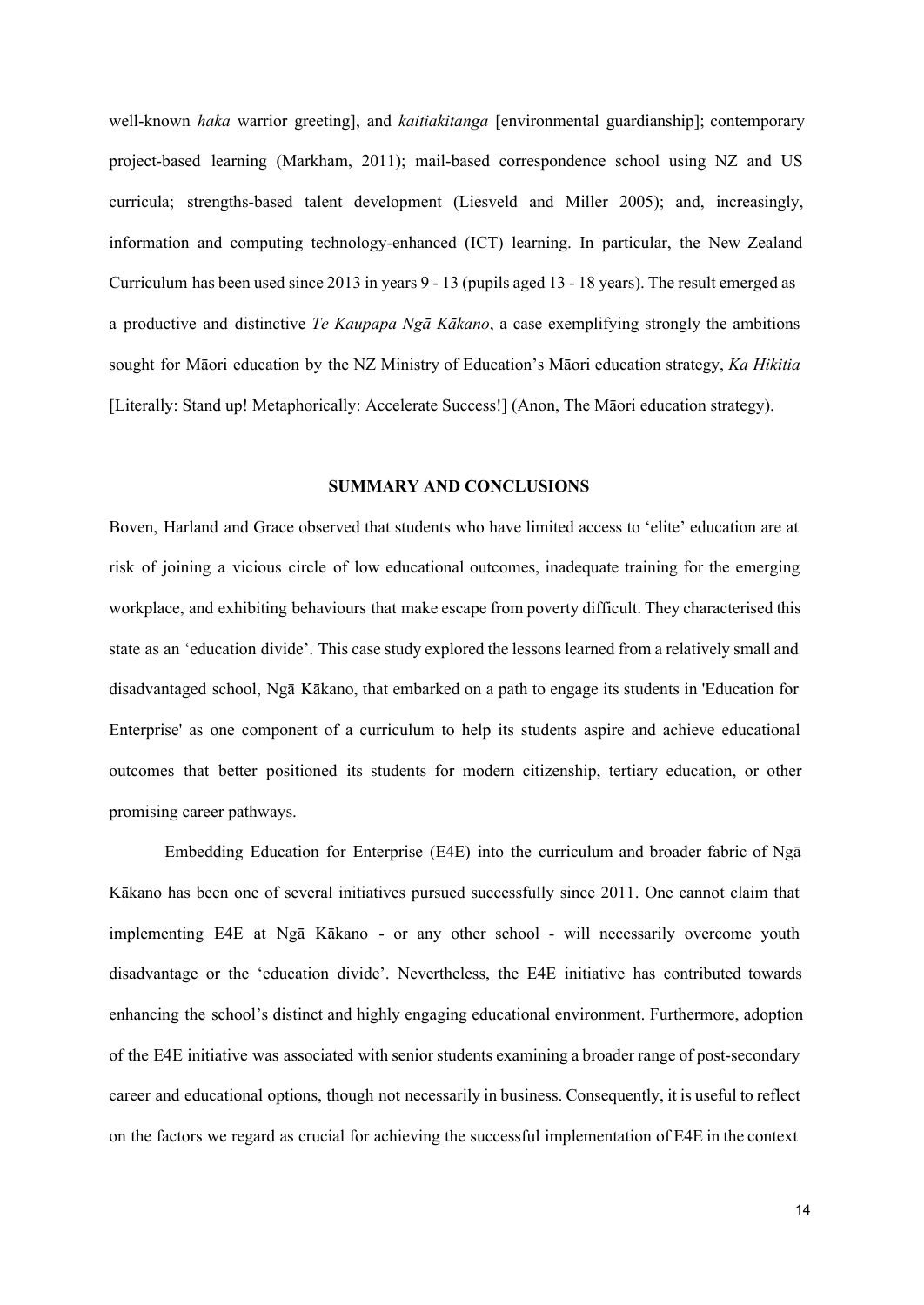wellknown *haka* warrior greeting], and *kaitiakitanga* [environmental guardianship]; contemporary project-based learning (Markham, 2011); mail-based correspondence school using  $NZ$  and US curricula; strengthsbased talent development (Liesveld and Miller 2005); and, increasingly, information and computing technology-enhanced (ICT) learning. In particular, the New Zealand Curriculum has been used since 2013 in years 9 - 13 (pupils aged 13 - 18 years). The result emerged as a productive and distinctive *Te Kaupapa Ngā Kākano*, a case exemplifying strongly the ambitions sought for Māori education by the NZ Ministry of Education's Māori education strategy, *Ka Hikitia* [Literally: Stand up! Metaphorically: Accelerate Success!] (Anon, The Māori education strategy).

#### **SUMMARY AND CONCLUSIONS**

Boven, Harland and Grace observed that students who have limited access to 'elite' education are at risk of joining a vicious circle of low educational outcomes, inadequate training for the emerging workplace, and exhibiting behaviours that make escape from poverty difficult. They characterised this state as an 'education divide'. This case study explored the lessons learned from a relatively small and disadvantaged school, Ngā Kākano, that embarked on a path to engage its students in 'Education for Enterprise' as one component of a curriculum to help its students aspire and achieve educational outcomes that better positioned its students for modern citizenship, tertiary education, or other promising career pathways.

Embedding Education for Enterprise (E4E) into the curriculum and broader fabric of Ngā Kākano has been one of several initiatives pursued successfully since 2011. One cannot claim that implementing E4E at Nga Kakano - or any other school - will necessarily overcome youth disadvantage or the 'education divide'. Nevertheless, the E4E initiative has contributed towards enhancing the school's distinct and highly engaging educational environment. Furthermore, adoption of the E4E initiative was associated with senior students examining a broader range of post-secondary career and educational options, though not necessarily in business. Consequently, it is useful to reflect on the factors we regard as crucial for achieving the successful implementation of E4E in the context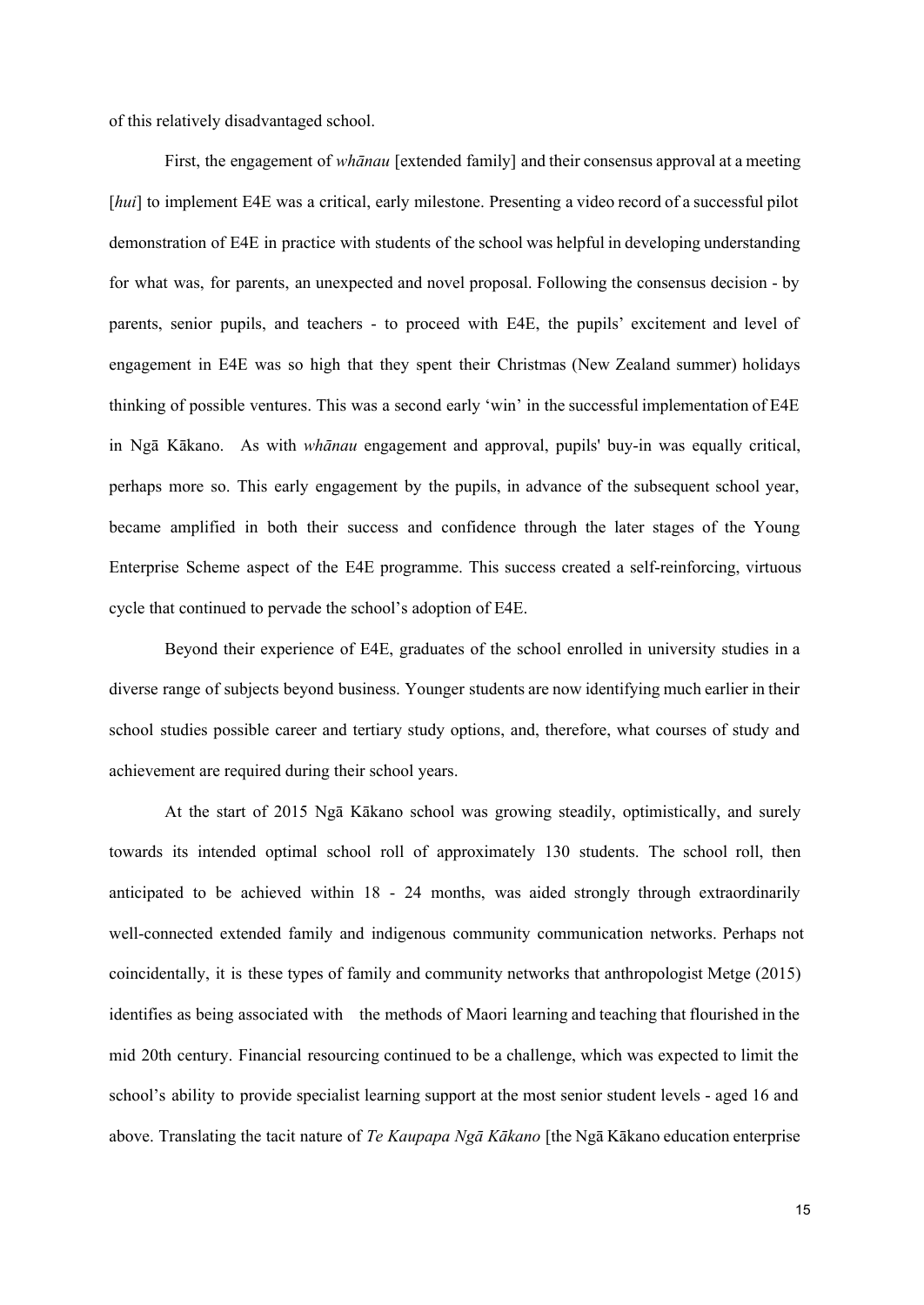of this relatively disadvantaged school.

First, the engagement of *whānau* [extended family] and their consensus approval at a meeting [*hui*] to implement E4E was a critical, early milestone. Presenting a video record of a successful pilot demonstration of E4E in practice with students of the school was helpful in developing understanding for what was, for parents, an unexpected and novel proposal. Following the consensus decision by parents, senior pupils, and teachers to proceed with E4E, the pupils' excitement and level of engagement in E4E was so high that they spent their Christmas (New Zealand summer) holidays thinking of possible ventures. This was a second early 'win' in the successful implementation of E4E in Ngā Kākano. As with *whānau* engagement and approval, pupils' buyin was equally critical, perhaps more so. This early engagement by the pupils, in advance of the subsequent school year, became amplified in both their success and confidence through the later stages of the Young Enterprise Scheme aspect of the E4E programme. This success created a self-reinforcing, virtuous cycle that continued to pervade the school's adoption of E4E.

Beyond their experience of E4E, graduates of the school enrolled in university studies in a diverse range of subjects beyond business. Younger students are now identifying much earlier in their school studies possible career and tertiary study options, and, therefore, what courses of study and achievement are required during their school years.

At the start of 2015 Ngā Kākano school was growing steadily, optimistically, and surely towards its intended optimal school roll of approximately 130 students. The school roll, then anticipated to be achieved within  $18 - 24$  months, was aided strongly through extraordinarily well-connected extended family and indigenous community communication networks. Perhaps not coincidentally, it is these types of family and community networks that anthropologist Metge (2015) identifies as being associated with the methods of Maori learning and teaching that flourished in the mid 20th century. Financial resourcing continued to be a challenge, which was expected to limit the school's ability to provide specialist learning support at the most senior student levels - aged 16 and above. Translating the tacit nature of *Te Kaupapa Ngā Kākano* [the Ngā Kākano education enterprise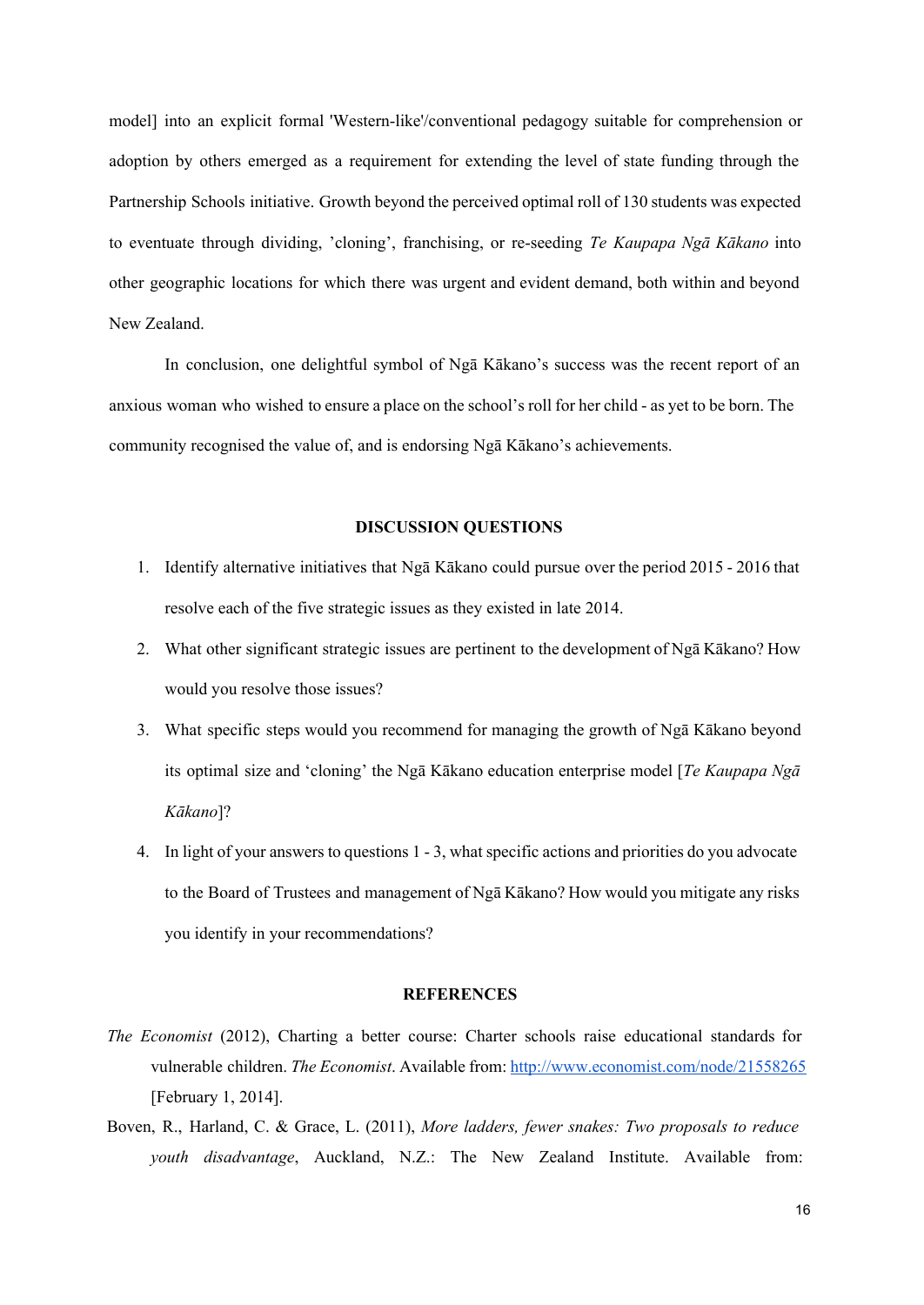model] into an explicit formal 'Western-like'/conventional pedagogy suitable for comprehension or adoption by others emerged as a requirement for extending the level of state funding through the Partnership Schools initiative. Growth beyond the perceived optimal roll of 130 students was expected to eventuate through dividing, 'cloning', franchising, or reseeding *Te Kaupapa Ngā Kākano* into other geographic locations for which there was urgent and evident demand, both within and beyond New Zealand.

In conclusion, one delightful symbol of Ngā Kākano's success was the recent report of an anxious woman who wished to ensure a place on the school's roll for her child as yet to be born. The community recognised the value of, and is endorsing Ngā Kākano's achievements.

# **DISCUSSION QUESTIONS**

- 1. Identify alternative initiatives that Ngā Kākano could pursue over the period 2015 2016 that resolve each of the five strategic issues as they existed in late 2014.
- 2. What other significant strategic issues are pertinent to the development of Ngā Kākano? How would you resolve those issues?
- 3. What specific steps would you recommend for managing the growth of Ngā Kākano beyond its optimal size and 'cloning' the Ngā Kākano education enterprise model [*Te Kaupapa Ngā Kākano*]?
- 4. In light of your answers to questions 1 3, what specific actions and priorities do you advocate to the Board of Trustees and management of Ngā Kākano? How would you mitigate any risks you identify in your recommendations?

# **REFERENCES**

- *The Economist* (2012), Charting a better course: Charter schools raise educational standards for vulnerable children. *The Economist*. Available from[:](http://www.economist.com/node/21558265) <http://www.economist.com/node/21558265> [February 1, 2014].
- Boven, R., Harland, C. & Grace, L. (2011), *More ladders, fewer snakes: Two proposals to reduce youth disadvantage*, Auckland, N.Z.: The New Zealand Institute. Available from[:](http://stakeholderstrategies.co.nz/files/REPORT%2520-%2520More%2520ladders%2520fewer%2520snakes.pdf)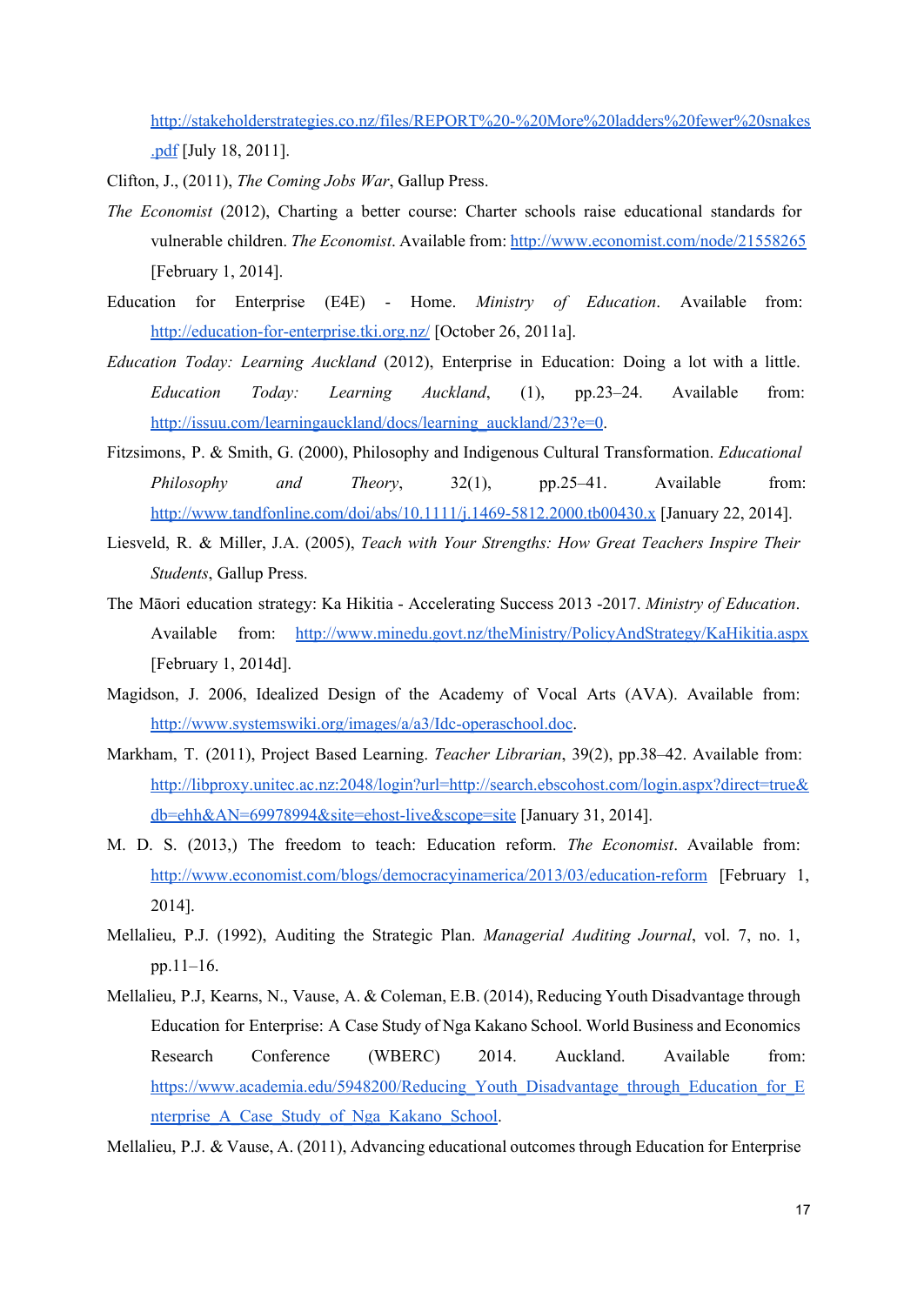[http://stakeholderstrategies.co.nz/files/REPORT%20%20More%20ladders%20fewer%20snakes](http://stakeholderstrategies.co.nz/files/REPORT%2520-%2520More%2520ladders%2520fewer%2520snakes.pdf) [.pdf](http://stakeholderstrategies.co.nz/files/REPORT%2520-%2520More%2520ladders%2520fewer%2520snakes.pdf) [July 18, 2011].

Clifton, J., (2011), *The Coming Jobs War*, Gallup Press.

- *The Economist* (2012), Charting a better course: Charter schools raise educational standards for vulnerable children. *The Economist*. Available from[:](http://www.economist.com/node/21558265) <http://www.economist.com/node/21558265> [February 1, 2014].
- Education for Enterprise (E4E) Home. *Ministry of Education*. Available from[:](http://education-for-enterprise.tki.org.nz/) http://education-for-enterprise.tki.org.nz/ [October 26, 2011a].
- *Education Today: Learning Auckland* (2012), Enterprise in Education: Doing a lot with a little. *Education Today: Learning Auckland*, (1), pp.23–24. Available from[:](http://issuu.com/learningauckland/docs/learning_auckland/23?e=0) [http://issuu.com/learningauckland/docs/learning\\_auckland/23?e=0.](http://issuu.com/learningauckland/docs/learning_auckland/23?e=0)
- Fitzsimons, P. & Smith, G. (2000), Philosophy and Indigenous Cultural Transformation. *Educational Philosophy and Theory*, 32(1), pp.25–41. Available from[:](http://www.tandfonline.com/doi/abs/10.1111/j.1469-5812.2000.tb00430.x) http://www.tandfonline.com/doi/abs/10.1111/j.1469-5812.2000.tb00430.x [January 22, 2014].
- Liesveld, R. & Miller, J.A. (2005), *Teach with Your Strengths: How Great Teachers Inspire Their Students*, Gallup Press.
- The Māori education strategy: Ka Hikitia Accelerating Success 2013 2017. *Ministry of Education*. Available from[:](http://www.minedu.govt.nz/theMinistry/PolicyAndStrategy/KaHikitia.aspx) <http://www.minedu.govt.nz/theMinistry/PolicyAndStrategy/KaHikitia.aspx> [February 1, 2014d].
- Magidson, J. 2006, Idealized Design of the Academy of Vocal Arts (AVA). Available from[:](http://www.systemswiki.org/images/a/a3/Idc-operaschool.doc) http://www.systemswiki.org/images/a/a3/Idc-operaschool.doc.
- Markham, T. (2011), Project Based Learning. *Teacher Librarian*, 39(2), pp.38–42. Available from[:](http://libproxy.unitec.ac.nz:2048/login?url=http://search.ebscohost.com/login.aspx?direct=true&db=ehh&AN=69978994&site=ehost-live&scope=site) [http://libproxy.unitec.ac.nz:2048/login?url=http://search.ebscohost.com/login.aspx?direct=true&](http://libproxy.unitec.ac.nz:2048/login?url=http://search.ebscohost.com/login.aspx?direct=true&db=ehh&AN=69978994&site=ehost-live&scope=site) db=ehh&AN=69978994&site=ehost-live&scope=site [January 31, 2014].
- M. D. S. (2013,) The freedom to teach: Education reform. *The Economist*. Available from[:](http://www.economist.com/blogs/democracyinamerica/2013/03/education-reform) http://www.economist.com/blogs/democracyinamerica/2013/03/education-reform [February 1, 2014].
- Mellalieu, P.J. (1992), Auditing the Strategic Plan. *Managerial Auditing Journal*, vol. 7, no. 1, pp.11–16.
- Mellalieu, P.J, Kearns, N., Vause, A. & Coleman, E.B. (2014), Reducing Youth Disadvantage through Education for Enterprise: A Case Study of Nga Kakano School. World Business and Economics Research Conference (WBERC) 2014. Auckland. Available from[:](https://www.academia.edu/5948200/Reducing_Youth_Disadvantage_through_Education_for_Enterprise_A_Case_Study_of_Nga_Kakano_School) [https://www.academia.edu/5948200/Reducing\\_Youth\\_Disadvantage\\_through\\_Education\\_for\\_E](https://www.academia.edu/5948200/Reducing_Youth_Disadvantage_through_Education_for_Enterprise_A_Case_Study_of_Nga_Kakano_School) nterprise A Case Study of Nga Kakano School.

Mellalieu, P.J. & Vause, A. (2011), Advancing educational outcomes through Education for Enterprise